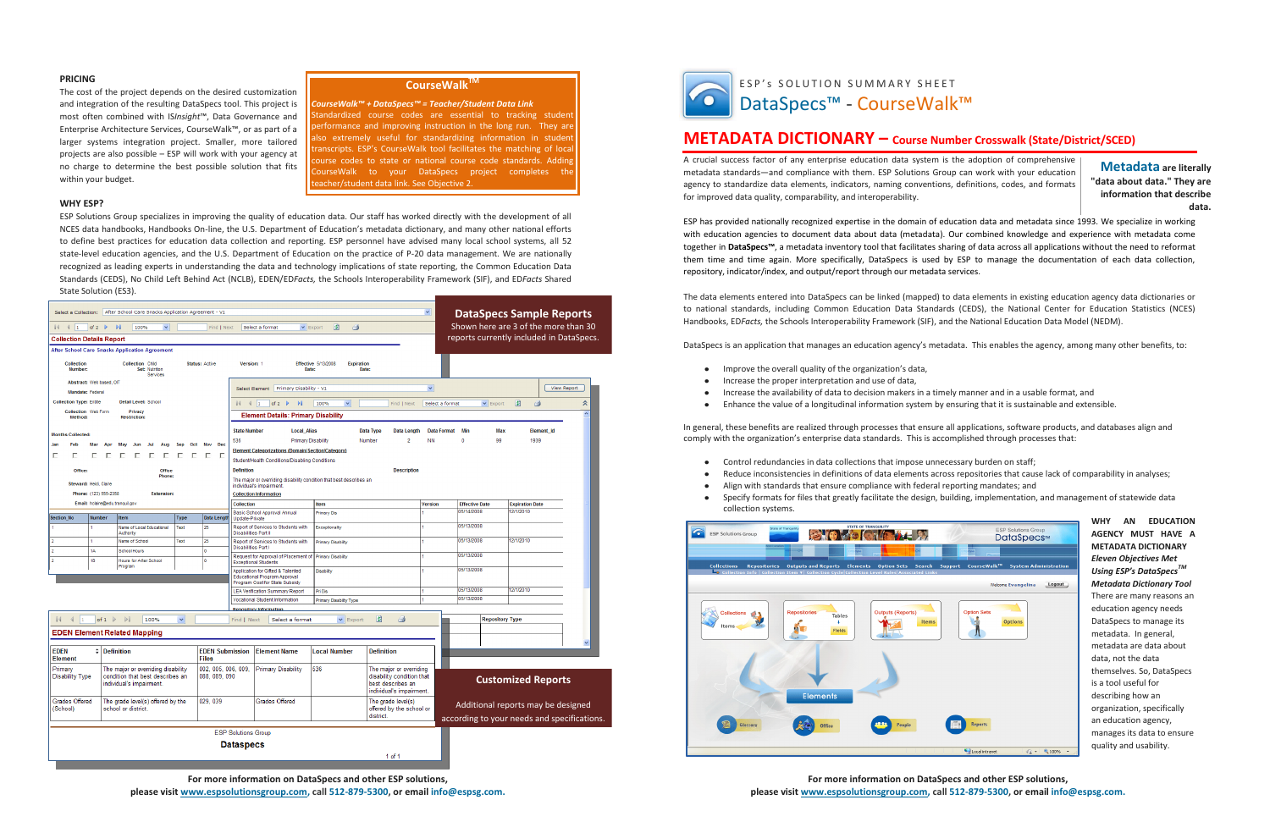### **For more information on DataSpecs and other ESP solutions, please visit www.espsolutionsgroup.com, call 512-879-5300, or email info@espsg.com.**

**For more information on DataSpecs and other ESP solutions, please visit www.espsolutionsgroup.com, call 512-879-5300, or email info@espsg.com.**

#### **PRICING**

The cost of the project depends on the desired customization and integration of the resulting DataSpecs tool. This project is most often combined with IS*Insight*™, Data Governance and Enterprise Architecture Services, CourseWalk™, or as part of a larger systems integration project. Smaller, more tailored projects are also possible – ESP will work with your agency at no charge to determine the best possible solution that fits within your budget.

#### **WHY ESP?**

ESP Solutions Group specializes in improving the quality of education data. Our staff has worked directly with the development of all NCES data handbooks, Handbooks On-line, the U.S. Department of Education's metadata dictionary, and many other national efforts to define best practices for education data collection and reporting. ESP personnel have advised many local school systems, all 52 state-level education agencies, and the U.S. Department of Education on the practice of P-20 data management. We are nationally recognized as leading experts in understanding the data and technology implications of state reporting, the Common Education Data Standards (CEDS), No Child Left Behind Act (NCLB), EDEN/ED*Facts,* the Schools Interoperability Framework (SIF), and ED*Facts* Shared State Solution (ES3).

- Improve the overall quality of the organization's data,
- Increase the proper interpretation and use of data,
- Increase the availability of data to decision makers in a timely manner and in a usable format, and
- Enhance the value of a longitudinal information system by ensuring that it is sustainable and extensible.  $\bullet$

# **METADATA DICTIONARY – Course Number Crosswalk (State/District/SCED)**

A crucial success factor of any enterprise education data system is the adoption of comprehensive metadata standards—and compliance with them. ESP Solutions Group can work with your education agency to standardize data elements, indicators, naming conventions, definitions, codes, and formats for improved data quality, comparability, and interoperability.

- $\bullet$ Control redundancies in data collections that impose unnecessary burden on staff;
- $\bullet$
- Align with standards that ensure compliance with federal reporting mandates; and
- Specify formats for files that greatly facilitate the design, building, implementation, and management of statewide data  $\bullet$ collection systems.



ESP has provided nationally recognized expertise in the domain of education data and metadata since 1993. We specialize in working with education agencies to document data about data (metadata). Our combined knowledge and experience with metadata come together in **DataSpecs™**, a metadata inventory tool that facilitates sharing of data across all applications without the need to reformat them time and time again. More specifically, DataSpecs is used by ESP to manage the documentation of each data collection, repository, indicator/index, and output/report through our metadata services.

*CourseWalk™ + DataSpecs™ = Teacher/Student Data Link* tandardized course codes are essential to tracking student

erformance and improving instruction in the long run. They are Iso extremely useful for standardizing information in student anscripts. ESP's CourseWalk tool facilitates the matching of local ourse codes to state or national course code standards. Adding ourseWalk to your DataSpecs project completes the eacher/student data link. See Objective 2.

> The data elements entered into DataSpecs can be linked (mapped) to data elements in existing education agency data dictionaries or to national standards, including Common Education Data Standards (CEDS), the National Center for Education Statistics (NCES) Handbooks, ED*Facts,* the Schools Interoperability Framework (SIF), and the National Education Data Model (NEDM).

DataSpecs is an application that manages an education agency's metadata. This enables the agency, among many other benefits, to:

In general, these benefits are realized through processes that ensure all applications, software products, and databases align and comply with the organization's enterprise data standards. This is accomplished through processes that:

Reduce inconsistencies in definitions of data elements across repositories that cause lack of comparability in analyses;

**WHY AN EDUCATION AGENCY MUST HAVE A METADATA DICTIONARY** *Eleven Objectives Met Using ESP's DataSpecs TM Metadata Dictionary Tool* There are many reasons an education agency needs DataSpecs to manage its metadata. In general, metadata are data about data, not the data themselves. So, DataSpecs is a tool useful for describing how an organization, specifically an education agency, manages its data to ensure quality and usability.

**Metadata are literally "data about data." They are information that describe data.**

## **CourseWalkTM**

|                                                                  |                             | Select a Collection: After School Care Snacks Application Agreement - V1                           |              |                                            |                                           |                                                                                                            |                                                 |                                                                                                       | $\checkmark$                    |                                     | <b>DataSpecs Sample Reports</b>                                                   |
|------------------------------------------------------------------|-----------------------------|----------------------------------------------------------------------------------------------------|--------------|--------------------------------------------|-------------------------------------------|------------------------------------------------------------------------------------------------------------|-------------------------------------------------|-------------------------------------------------------------------------------------------------------|---------------------------------|-------------------------------------|-----------------------------------------------------------------------------------|
| of 2 $\triangleright$                                            | $\overline{\phantom{a}}$    | 100%<br>$\vee$                                                                                     |              | Find   Next                                |                                           | Select a format                                                                                            | 圍<br>g<br>$\vee$ Export                         |                                                                                                       |                                 |                                     | Shown here are 3 of the more than 30                                              |
| <b>Collection Details Report</b>                                 |                             |                                                                                                    |              |                                            |                                           |                                                                                                            |                                                 |                                                                                                       |                                 |                                     | reports currently included in DataSpecs.                                          |
| <b>After School Care Snacks Application Agreement</b>            |                             |                                                                                                    |              |                                            |                                           |                                                                                                            |                                                 |                                                                                                       |                                 |                                     |                                                                                   |
| <b>Collection</b><br>Number:                                     |                             | <b>Collection Child</b><br>Set: Nutrition<br>Services                                              |              | Status: Active                             | Version: 1                                | Date:                                                                                                      | <b>Effective 5/13/2008</b><br><b>Expiration</b> | Date:                                                                                                 |                                 |                                     |                                                                                   |
| Abstract: Web based, OIT<br>Mandate: Federal                     |                             |                                                                                                    |              |                                            | Select Element                            | Primary Disability - V1                                                                                    |                                                 |                                                                                                       | $\blacktriangledown$            |                                     | View Report                                                                       |
| <b>Collection Type: Entitle</b>                                  |                             | <b>Detail Level: School</b>                                                                        |              |                                            | $\mathbb{N}$<br>$\parallel$ $\parallel$ 1 | of 2 $\blacktriangleright$<br>DI.                                                                          | $\checkmark$<br>100%                            | Find   Next                                                                                           | Select a format                 | $\vee$ Export                       | 圍<br>$\hat{\mathbf{z}}$<br>g                                                      |
| Collection Web Form<br>Privacy<br>Method:<br><b>Restriction:</b> |                             |                                                                                                    |              | <b>Element Details: Primary Disability</b> |                                           |                                                                                                            |                                                 |                                                                                                       |                                 |                                     |                                                                                   |
|                                                                  |                             |                                                                                                    |              |                                            |                                           |                                                                                                            |                                                 |                                                                                                       |                                 |                                     |                                                                                   |
| <b>Months Collected:</b>                                         |                             |                                                                                                    |              |                                            | <b>State Number</b>                       | <b>Local_Alias</b>                                                                                         |                                                 | Data Type<br>Data Length<br>2                                                                         | <b>Data Format</b><br><b>NN</b> | Min<br><b>Max</b><br>$\theta$<br>99 | <b>Element Id</b><br>1939                                                         |
| Jan<br>Feb<br>Mar                                                | Apr                         | May<br>Jun<br>Jul<br>Aug                                                                           | Oct<br>Sep   | <b>Nov</b><br>Dec                          | 536                                       | <b>Primary Disability</b><br><b>Element Categorizations (Domain/Section/Category)</b>                      |                                                 | Number                                                                                                |                                 |                                     |                                                                                   |
| г<br>Е<br>Е                                                      | E                           | Е<br>E<br>г<br>E.                                                                                  | F<br>F       | F.<br>F                                    |                                           | Student/Health Conditions/Disabling Conditions                                                             |                                                 |                                                                                                       |                                 |                                     |                                                                                   |
| Office:                                                          |                             | <b>Office</b>                                                                                      |              |                                            | <b>Definition</b>                         |                                                                                                            |                                                 | <b>Description</b>                                                                                    |                                 |                                     |                                                                                   |
| Steward: Heidi, Claire                                           |                             | Phone:                                                                                             |              |                                            |                                           | The major or overriding disability condition that best describes an<br>individual's impairment.            |                                                 |                                                                                                       |                                 |                                     |                                                                                   |
| Phone: (123) 555-2358                                            |                             | <b>Extension:</b>                                                                                  |              |                                            |                                           | <b>Collection Information</b>                                                                              |                                                 |                                                                                                       |                                 |                                     |                                                                                   |
| Email: hclaire@edu.tranquil.gov                                  |                             |                                                                                                    |              |                                            | <b>Collection</b>                         |                                                                                                            | Item                                            |                                                                                                       | <b>Version</b>                  | <b>Effective Date</b><br>05/14/2008 | <b>Expiration Date</b><br>12/1/2010                                               |
| Section_No<br>Number                                             |                             | Item                                                                                               | <b>Type</b>  | <b>Data Lengt</b>                          | Update-Private                            | Basic School Approval Annual                                                                               | <b>Primary Dis</b>                              |                                                                                                       |                                 |                                     |                                                                                   |
|                                                                  |                             | Name of Local Educational<br>Authority                                                             | Text         | 25                                         | <b>Disabilities Part II</b>               | Report of Services to Students with                                                                        | <b>Exceptionality</b>                           |                                                                                                       |                                 | 05/13/2008                          |                                                                                   |
| $\overline{2}$<br>1A                                             |                             | Name of School<br><b>School Hours</b>                                                              | Text         | 25<br>$\mathbf{0}$                         | <b>Disabilities Part I</b>                | Report of Services to Students with                                                                        | <b>Primary Disability</b>                       |                                                                                                       | 1                               | 05/13/2008                          | 12/1/2010                                                                         |
| $\overline{2}$<br>1B                                             |                             | <b>Hours for After School</b><br>Program                                                           |              | $\mathbf{0}$                               |                                           | Request for Approval of Placement of<br><b>Exceptional Students</b>                                        | <b>Primary Disability</b>                       |                                                                                                       |                                 | 05/13/2008                          |                                                                                   |
|                                                                  |                             |                                                                                                    |              |                                            |                                           | Application for Gifted & Talented<br><b>Educational Program Approval</b><br>Program Cost for State Subsidy | <b>Disability</b>                               |                                                                                                       | 4                               | 05/13/2008                          |                                                                                   |
|                                                                  |                             |                                                                                                    |              |                                            |                                           | <b>LEA Verification Summary Report</b>                                                                     | Pri Dis                                         |                                                                                                       |                                 | 05/13/2008                          | 12/1/2010                                                                         |
|                                                                  |                             |                                                                                                    |              |                                            |                                           | <b>Vocational Student Information</b>                                                                      | Primary Disability Type                         |                                                                                                       |                                 | 05/13/2008                          |                                                                                   |
|                                                                  |                             |                                                                                                    |              |                                            |                                           | Renository Information                                                                                     |                                                 |                                                                                                       |                                 |                                     |                                                                                   |
| $\mathbb{N}$<br>$\triangleleft$                                  | of $1 \quad \triangleright$ | $\mathbb{N}$<br>100%                                                                               | $\checkmark$ |                                            | Find   Next                               | Select a format                                                                                            | v Export                                        | 团<br>ð                                                                                                |                                 | <b>Repository Type</b>              |                                                                                   |
| <b>EDEN Element Related Mapping</b>                              |                             |                                                                                                    |              |                                            |                                           |                                                                                                            |                                                 |                                                                                                       |                                 |                                     | v                                                                                 |
| <b>EDEN</b><br><b>Element</b>                                    | ≑ Definition                |                                                                                                    |              | <b>EDEN Submission</b><br><b>Files</b>     |                                           | <b>Element Name</b>                                                                                        | <b>Local Number</b>                             | <b>Definition</b>                                                                                     |                                 |                                     |                                                                                   |
| Primary<br><b>Disability Type</b>                                |                             | The major or overriding disability<br>condition that best describes an<br>individual's impairment. |              | 002, 005, 006, 009,<br>088, 089, 090       |                                           | <b>Primary Disability</b>                                                                                  | 536                                             | The major or overriding<br>disability condition that<br>best describes an<br>individual's impairment. |                                 |                                     | <b>Customized Reports</b>                                                         |
| <b>Grades Offered</b><br>(School)                                |                             | The grade level(s) offered by the<br>school or district                                            |              | 029, 039                                   |                                           | <b>Grades Offered</b>                                                                                      |                                                 | The grade level(s)<br>offered by the school or<br>district.                                           |                                 |                                     | Additional reports may be designed<br>according to your needs and specifications. |
|                                                                  |                             |                                                                                                    |              |                                            | <b>ESP Solutions Group</b>                |                                                                                                            |                                                 |                                                                                                       |                                 |                                     |                                                                                   |
|                                                                  |                             |                                                                                                    |              |                                            | <b>Dataspecs</b>                          |                                                                                                            |                                                 |                                                                                                       |                                 |                                     |                                                                                   |
|                                                                  |                             |                                                                                                    |              |                                            |                                           |                                                                                                            |                                                 | $1$ of $1$                                                                                            |                                 |                                     |                                                                                   |

ESP's SOLUTION SUMMARY SHEET DataSpecs™ - CourseWalk™